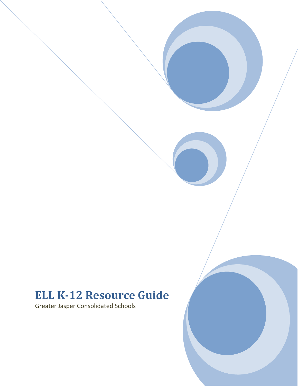# **ELL K-12 Resource Guide**

Greater Jasper Consolidated Schools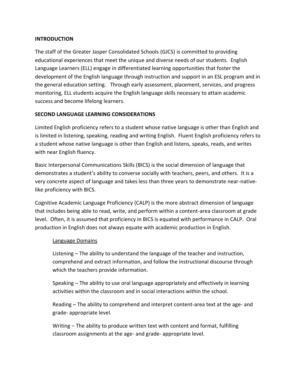#### **INTRODUCTION**

The staff of the Greater Jasper Consolidated Schools (GJCS) is committed to providing educational experiences that meet the unique and diverse needs of our students. English Language Learners (ELL) engage in differentiated learning opportunities that foster the development of the English language through instruction and support in an ESL program and in the general education setting. Through early assessment, placement, services, and progress monitoring, ELL students acquire the English language skills necessary to attain academic success and become lifelong learners.

### **SECOND LANGUAGE LEARNING CONSIDERATIONS**

Limited English proficiency refers to a student whose native language is other than English and is limited in listening, speaking, reading and writing English. Fluent English proficiency refers to a student whose native language is other than English and listens, speaks, reads, and writes with near English fluency.

Basic Interpersonal Communications Skills (BICS) is the social dimension of language that demonstrates a student's ability to converse socially with teachers, peers, and others. It is a very concrete aspect of language and takes less than three years to demonstrate near-nativelike proficiency with BICS.

Cognitive Academic Language Proficiency (CALP) is the more abstract dimension of language that includes being able to read, write, and perform within a content-area classroom at grade level. Often, it is assumed that proficiency in BICS is equated with performance in CALP. Oral production in English does not always equate with academic production in English.

#### Language Domains

Listening – The ability to understand the language of the teacher and instruction, comprehend and extract information, and follow the instructional discourse through which the teachers provide information.

Speaking – The ability to use oral language appropriately and effectively in learning activities within the classroom and in social interactions within the school.

Reading – The ability to comprehend and interpret content-area text at the age- and grade- appropriate level.

Writing – The ability to produce written text with content and format, fulfilling classroom assignments at the age- and grade- appropriate level.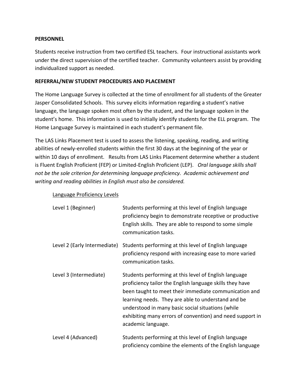#### **PERSONNEL**

Students receive instruction from two certified ESL teachers. Four instructional assistants work under the direct supervision of the certified teacher. Community volunteers assist by providing individualized support as needed.

## **REFERRAL/NEW STUDENT PROCEDURES AND PLACEMENT**

The Home Language Survey is collected at the time of enrollment for all students of the Greater Jasper Consolidated Schools. This survey elicits information regarding a student's native language, the language spoken most often by the student, and the language spoken in the student's home. This information is used to initially identify students for the ELL program. The Home Language Survey is maintained in each student's permanent file.

The LAS Links Placement test is used to assess the listening, speaking, reading, and writing abilities of newly-enrolled students within the first 30 days at the beginning of the year or within 10 days of enrollment. Results from LAS Links Placement determine whether a student is Fluent English Proficient (FEP) or Limited-English Proficient (LEP). *Oral language skills shall not be the sole criterion for determining language proficiency. Academic achievement and writing and reading abilities in English must also be considered.*

#### Language Proficiency Levels

| Level 1 (Beginner)           | Students performing at this level of English language<br>proficiency begin to demonstrate receptive or productive<br>English skills. They are able to respond to some simple<br>communication tasks.                                                                                                                                                                     |
|------------------------------|--------------------------------------------------------------------------------------------------------------------------------------------------------------------------------------------------------------------------------------------------------------------------------------------------------------------------------------------------------------------------|
| Level 2 (Early Intermediate) | Students performing at this level of English language<br>proficiency respond with increasing ease to more varied<br>communication tasks.                                                                                                                                                                                                                                 |
| Level 3 (Intermediate)       | Students performing at this level of English language<br>proficiency tailor the English language skills they have<br>been taught to meet their immediate communication and<br>learning needs. They are able to understand and be<br>understood in many basic social situations (while<br>exhibiting many errors of convention) and need support in<br>academic language. |
| Level 4 (Advanced)           | Students performing at this level of English language                                                                                                                                                                                                                                                                                                                    |

Level 4 (Advanced) Students performing at this level of English language proficiency combine the elements of the English language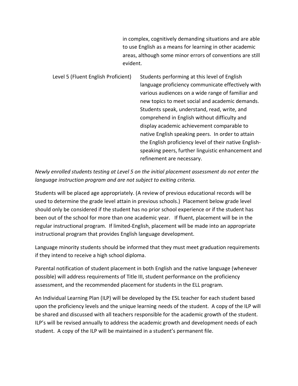in complex, cognitively demanding situations and are able to use English as a means for learning in other academic areas, although some minor errors of conventions are still evident.

Level 5 (Fluent English Proficient) Students performing at this level of English language proficiency communicate effectively with various audiences on a wide range of familiar and new topics to meet social and academic demands. Students speak, understand, read, write, and comprehend in English without difficulty and display academic achievement comparable to native English speaking peers. In order to attain the English proficiency level of their native Englishspeaking peers, further linguistic enhancement and refinement are necessary.

*Newly enrolled students testing at Level 5 on the initial placement assessment do not enter the language instruction program and are not subject to exiting criteria.*

Students will be placed age appropriately. (A review of previous educational records will be used to determine the grade level attain in previous schools.) Placement below grade level should only be considered if the student has no prior school experience or if the student has been out of the school for more than one academic year. If fluent, placement will be in the regular instructional program. If limited-English, placement will be made into an appropriate instructional program that provides English language development.

Language minority students should be informed that they must meet graduation requirements if they intend to receive a high school diploma.

Parental notification of student placement in both English and the native language (whenever possible) will address requirements of Title III, student performance on the proficiency assessment, and the recommended placement for students in the ELL program.

An Individual Learning Plan (ILP) will be developed by the ESL teacher for each student based upon the proficiency levels and the unique learning needs of the student. A copy of the ILP will be shared and discussed with all teachers responsible for the academic growth of the student. ILP's will be revised annually to address the academic growth and development needs of each student. A copy of the ILP will be maintained in a student's permanent file.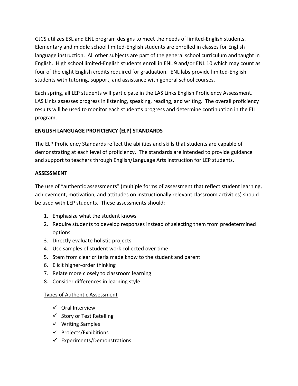GJCS utilizes ESL and ENL program designs to meet the needs of limited-English students. Elementary and middle school limited-English students are enrolled in classes for English language instruction. All other subjects are part of the general school curriculum and taught in English. High school limited-English students enroll in ENL 9 and/or ENL 10 which may count as four of the eight English credits required for graduation. ENL labs provide limited-English students with tutoring, support, and assistance with general school courses.

Each spring, all LEP students will participate in the LAS Links English Proficiency Assessment. LAS Links assesses progress in listening, speaking, reading, and writing. The overall proficiency results will be used to monitor each student's progress and determine continuation in the ELL program.

# **ENGLISH LANGUAGE PROFICIENCY (ELP) STANDARDS**

The ELP Proficiency Standards reflect the abilities and skills that students are capable of demonstrating at each level of proficiency. The standards are intended to provide guidance and support to teachers through English/Language Arts instruction for LEP students.

## **ASSESSMENT**

The use of "authentic assessments" (multiple forms of assessment that reflect student learning, achievement, motivation, and attitudes on instructionally relevant classroom activities) should be used with LEP students. These assessments should:

- 1. Emphasize what the student knows
- 2. Require students to develop responses instead of selecting them from predetermined options
- 3. Directly evaluate holistic projects
- 4. Use samples of student work collected over time
- 5. Stem from clear criteria made know to the student and parent
- 6. Elicit higher-order thinking
- 7. Relate more closely to classroom learning
- 8. Consider differences in learning style

## Types of Authentic Assessment

- $\checkmark$  Oral Interview
- $\checkmark$  Story or Test Retelling
- $\checkmark$  Writing Samples
- $\checkmark$  Projects/Exhibitions
- $\checkmark$  Experiments/Demonstrations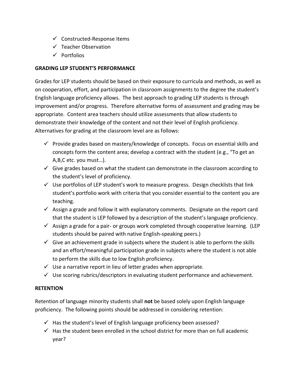- $\checkmark$  Constructed-Response Items
- $\checkmark$  Teacher Observation
- $\sqrt{}$  Portfolios

## **GRADING LEP STUDENT'S PERFORMANCE**

Grades for LEP students should be based on their exposure to curricula and methods, as well as on cooperation, effort, and participation in classroom assignments to the degree the student's English language proficiency allows. The best approach to grading LEP students is through improvement and/or progress. Therefore alternative forms of assessment and grading may be appropriate. Content area teachers should utilize assessments that allow students to demonstrate their knowledge of the content and not their level of English proficiency. Alternatives for grading at the classroom level are as follows:

- $\checkmark$  Provide grades based on mastery/knowledge of concepts. Focus on essential skills and concepts form the content area; develop a contract with the student (e.g., "To get an A,B,C etc. you must…).
- $\checkmark$  Give grades based on what the student can demonstrate in the classroom according to the student's level of proficiency.
- $\checkmark$  Use portfolios of LEP student's work to measure progress. Design checklists that link student's portfolio work with criteria that you consider essential to the content you are teaching.
- $\checkmark$  Assign a grade and follow it with explanatory comments. Designate on the report card that the student is LEP followed by a description of the student's language proficiency.
- $\checkmark$  Assign a grade for a pair- or groups work completed through cooperative learning. (LEP students should be paired with native English-speaking peers.)
- $\checkmark$  Give an achievement grade in subjects where the student is able to perform the skills and an effort/meaningful participation grade in subjects where the student is not able to perform the skills due to low English proficiency.
- $\checkmark$  Use a narrative report in lieu of letter grades when appropriate.
- $\checkmark$  Use scoring rubrics/descriptors in evaluating student performance and achievement.

## **RETENTION**

Retention of language minority students shall **not** be based solely upon English language proficiency. The following points should be addressed in considering retention:

- $\checkmark$  Has the student's level of English language proficiency been assessed?
- $\checkmark$  Has the student been enrolled in the school district for more than on full academic year?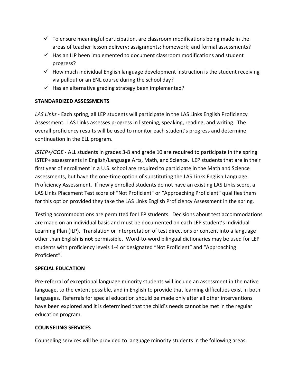- $\checkmark$  To ensure meaningful participation, are classroom modifications being made in the areas of teacher lesson delivery; assignments; homework; and formal assessments?
- $\checkmark$  Has an ILP been implemented to document classroom modifications and student progress?
- $\checkmark$  How much individual English language development instruction is the student receiving via pullout or an ENL course during the school day?
- $\checkmark$  Has an alternative grading strategy been implemented?

# **STANDARDIZED ASSESSMENTS**

*LAS Links* - Each spring, all LEP students will participate in the LAS Links English Proficiency Assessment. LAS Links assesses progress in listening, speaking, reading, and writing. The overall proficiency results will be used to monitor each student's progress and determine continuation in the ELL program.

*ISTEP+/GQE* - ALL students in grades 3-8 and grade 10 are required to participate in the spring ISTEP+ assessments in English/Language Arts, Math, and Science. LEP students that are in their first year of enrollment in a U.S. school are required to participate in the Math and Science assessments, but have the one-time option of substituting the LAS Links English Language Proficiency Assessment. If newly enrolled students do not have an existing LAS Links score, a LAS Links Placement Test score of "Not Proficient" or "Approaching Proficient" qualifies them for this option provided they take the LAS Links English Proficiency Assessment in the spring.

Testing accommodations are permitted for LEP students. Decisions about test accommodations are made on an individual basis and must be documented on each LEP student's Individual Learning Plan (ILP). Translation or interpretation of test directions or content into a language other than English **is not** permissible. Word-to-word bilingual dictionaries may be used for LEP students with proficiency levels 1-4 or designated "Not Proficient" and "Approaching Proficient".

## **SPECIAL EDUCATION**

Pre-referral of exceptional language minority students will include an assessment in the native language, to the extent possible, and in English to provide that learning difficulties exist in both languages. Referrals for special education should be made only after all other interventions have been explored and it is determined that the child's needs cannot be met in the regular education program.

## **COUNSELING SERVICES**

Counseling services will be provided to language minority students in the following areas: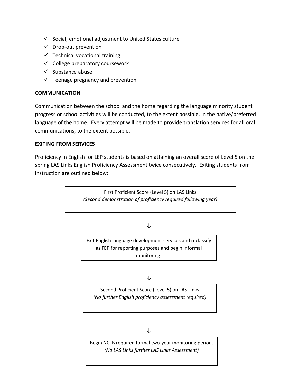- $\checkmark$  Social, emotional adjustment to United States culture
- $\checkmark$  Drop-out prevention
- $\checkmark$  Technical vocational training
- $\checkmark$  College preparatory coursework
- $\checkmark$  Substance abuse
- $\checkmark$  Teenage pregnancy and prevention

## **COMMUNICATION**

Communication between the school and the home regarding the language minority student progress or school activities will be conducted, to the extent possible, in the native/preferred language of the home. Every attempt will be made to provide translation services for all oral communications, to the extent possible.

### **EXITING FROM SERVICES**

Proficiency in English for LEP students is based on attaining an overall score of Level 5 on the spring LAS Links English Proficiency Assessment twice consecutively. Exiting students from instruction are outlined below:

> First Proficient Score (Level 5) on LAS Links *(Second demonstration of proficiency required following year)*

## ↓

Exit English language development services and reclassify as FEP for reporting purposes and begin informal monitoring.

#### ↓

Second Proficient Score (Level 5) on LAS Links *(No further English proficiency assessment required)*

Begin NCLB required formal two-year monitoring period. *(No LAS Links further LAS Links Assessment)*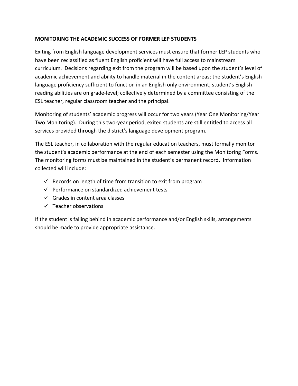## **MONITORING THE ACADEMIC SUCCESS OF FORMER LEP STUDENTS**

Exiting from English language development services must ensure that former LEP students who have been reclassified as fluent English proficient will have full access to mainstream curriculum. Decisions regarding exit from the program will be based upon the student's level of academic achievement and ability to handle material in the content areas; the student's English language proficiency sufficient to function in an English only environment; student's English reading abilities are on grade-level; collectively determined by a committee consisting of the ESL teacher, regular classroom teacher and the principal.

Monitoring of students' academic progress will occur for two years (Year One Monitoring/Year Two Monitoring). During this two-year period, exited students are still entitled to access all services provided through the district's language development program.

The ESL teacher, in collaboration with the regular education teachers, must formally monitor the student's academic performance at the end of each semester using the Monitoring Forms. The monitoring forms must be maintained in the student's permanent record. Information collected will include:

- $\checkmark$  Records on length of time from transition to exit from program
- $\checkmark$  Performance on standardized achievement tests
- $\checkmark$  Grades in content area classes
- $\checkmark$  Teacher observations

If the student is falling behind in academic performance and/or English skills, arrangements should be made to provide appropriate assistance.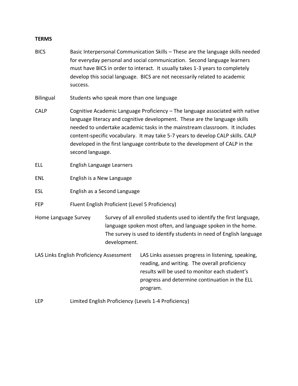#### **TERMS**

- BICS Basic Interpersonal Communication Skills These are the language skills needed for everyday personal and social communication. Second language learners must have BICS in order to interact. It usually takes 1-3 years to completely develop this social language. BICS are not necessarily related to academic success.
- Bilingual Students who speak more than one language
- CALP Cognitive Academic Language Proficiency The language associated with native language literacy and cognitive development. These are the language skills needed to undertake academic tasks in the mainstream classroom. It includes content-specific vocabulary. It may take 5-7 years to develop CALP skills. CALP developed in the first language contribute to the development of CALP in the second language.
- ELL English Language Learners
- ENL English is a New Language
- ESL English as a Second Language
- FEP Fluent English Proficient (Level 5 Proficiency)
- Home Language Survey Survey of all enrolled students used to identify the first language, language spoken most often, and language spoken in the home. The survey is used to identify students in need of English language development.
- LAS Links English Proficiency Assessment LAS Links assesses progress in listening, speaking, reading, and writing. The overall proficiency results will be used to monitor each student's progress and determine continuation in the ELL program.
- LEP Limited English Proficiency (Levels 1-4 Proficiency)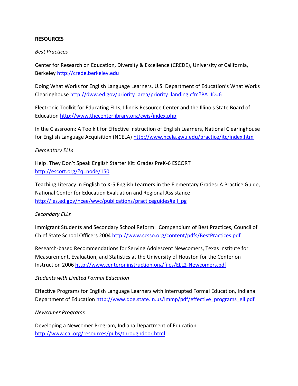#### **RESOURCES**

#### *Best Practices*

Center for Research on Education, Diversity & Excellence (CREDE), University of California, Berkeley [http://crede.berkeley.edu](http://crede.berkeley.edu/)

Doing What Works for English Language Learners, U.S. Department of Education's What Works Clearinghouse [http://dww.ed.gov/priority\\_area/priority\\_landing.cfm?PA\\_ID=6](http://dww.ed.gov/priority_area/priority_landing.cfm?PA_ID=6)

Electronic Toolkit for Educating ELLs, Illinois Resource Center and the Illinois State Board of Education<http://www.thecenterlibrary.org/cwis/index.php>

In the Classroom: A Toolkit for Effective Instruction of English Learners, National Clearinghouse for English Language Acquisition (NCELA)<http://www.ncela.gwu.edu/practice/itc/index.htm>

### *Elementary ELLs*

Help! They Don't Speak English Starter Kit: Grades PreK-6 ESCORT <http://escort.org/?q=node/150>

Teaching Literacy in English to K-5 English Learners in the Elementary Grades: A Practice Guide, National Center for Education Evaluation and Regional Assistance [http://ies.ed.gov/ncee/wwc/publications/practiceguides#ell\\_pg](http://ies.ed.gov/ncee/wwc/publications/practiceguides#ell_pg)

#### *Secondary ELLs*

Immigrant Students and Secondary School Reform: Compendium of Best Practices, Council of Chief State School Officers 2004<http://www.ccsso.org/content/pdfs/BestPractices.pdf>

Research-based Recommendations for Serving Adolescent Newcomers, Texas Institute for Measurement, Evaluation, and Statistics at the University of Houston for the Center on Instruction 2006<http://www.centeroninstruction.org/files/ELL2-Newcomers.pdf>

#### *Students with Limited Formal Education*

Effective Programs for English Language Learners with Interrupted Formal Education, Indiana Department of Education [http://www.doe.state.in.us/Immp/pdf/effective\\_programs\\_ell.pdf](http://www.doe.state.in.us/Immp/pdf/effective_programs_ell.pdf)

#### *Newcomer Programs*

Developing a Newcomer Program, Indiana Department of Education <http://www.cal.org/resources/pubs/throughdoor.html>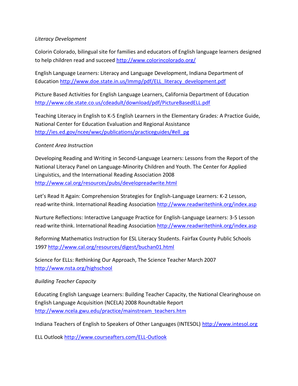## *Literacy Development*

Colorin Colorado, bilingual site for families and educators of English language learners designed to help children read and succeed<http://www.colorincolorado.org/>

English Language Learners: Literacy and Language Development, Indiana Department of Education [http://www.doe.state.in.us/Immp/pdf/ELL\\_literacy\\_development.pdf](http://www.doe.state.in.us/Immp/pdf/ELL_literacy_development.pdf)

Picture Based Activities for English Language Learners, California Department of Education <http://www.cde.state.co.us/cdeadult/download/pdf/PictureBasedELL.pdf>

Teaching Literacy in English to K-5 English Learners in the Elementary Grades: A Practice Guide, National Center for Education Evaluation and Regional Assistance [http://ies.ed.gov/ncee/wwc/publications/practiceguides/#ell\\_pg](http://ies.ed.gov/ncee/wwc/publications/practiceguides/#ell_pg)

### *Content Area Instruction*

Developing Reading and Writing in Second-Language Learners: Lessons from the Report of the National Literacy Panel on Language-Minority Children and Youth. The Center for Applied Linguistics, and the International Reading Association 2008 <http://www.cal.org/resources/pubs/developreadwrite.html>

Let's Read It Again: Comprehension Strategies for English-Language Learners: K-2 Lesson, read∙write∙think. International Reading Association<http://www.readwritethink.org/index.asp>

Nurture Reflections: Interactive Language Practice for English-Language Learners: 3-5 Lesson read∙write∙think. International Reading Association<http://www.readwritethink.org/index.asp>

Reforming Mathematics Instruction for ESL Literacy Students. Fairfax County Public Schools 1997<http://www.cal.org/resources/digest/buchan01.html>

Science for ELLs: Rethinking Our Approach, The Science Teacher March 2007 <http://www.nsta.org/highschool>

## *Building Teacher Capacity*

Educating English Language Learners: Building Teacher Capacity, the National Clearinghouse on English Language Acquisition (NCELA) 2008 Roundtable Report [http://www.ncela.gwu.edu/practice/mainstream\\_teachers.htm](http://www.ncela.gwu.edu/practice/mainstream_teachers.htm)

Indiana Teachers of English to Speakers of Other Languages (INTESOL) [http://www.intesol.org](http://www.intesol.org/)

ELL Outlook<http://www.courseafters.com/ELL-Outlook>